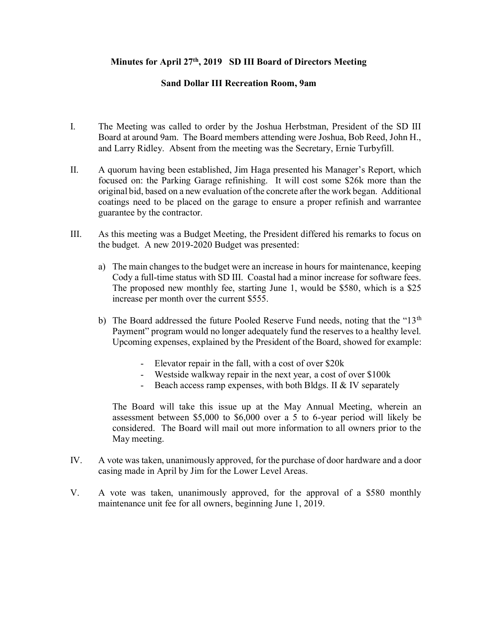## **Minutes for April 27th, 2019 SD III Board of Directors Meeting**

## **Sand Dollar III Recreation Room, 9am**

- I. The Meeting was called to order by the Joshua Herbstman, President of the SD III Board at around 9am. The Board members attending were Joshua, Bob Reed, John H., and Larry Ridley. Absent from the meeting was the Secretary, Ernie Turbyfill.
- II. A quorum having been established, Jim Haga presented his Manager's Report, which focused on: the Parking Garage refinishing. It will cost some \$26k more than the original bid, based on a new evaluation of the concrete after the work began. Additional coatings need to be placed on the garage to ensure a proper refinish and warrantee guarantee by the contractor.
- III. As this meeting was a Budget Meeting, the President differed his remarks to focus on the budget. A new 2019-2020 Budget was presented:
	- a) The main changes to the budget were an increase in hours for maintenance, keeping Cody a full-time status with SD III. Coastal had a minor increase for software fees. The proposed new monthly fee, starting June 1, would be \$580, which is a \$25 increase per month over the current \$555.
	- b) The Board addressed the future Pooled Reserve Fund needs, noting that the "13<sup>th</sup>" Payment" program would no longer adequately fund the reserves to a healthy level. Upcoming expenses, explained by the President of the Board, showed for example:
		- Elevator repair in the fall, with a cost of over \$20k
		- Westside walkway repair in the next year, a cost of over \$100k
		- Beach access ramp expenses, with both Bldgs. II & IV separately

The Board will take this issue up at the May Annual Meeting, wherein an assessment between \$5,000 to \$6,000 over a 5 to 6-year period will likely be considered. The Board will mail out more information to all owners prior to the May meeting.

- IV. A vote was taken, unanimously approved, for the purchase of door hardware and a door casing made in April by Jim for the Lower Level Areas.
- V. A vote was taken, unanimously approved, for the approval of a \$580 monthly maintenance unit fee for all owners, beginning June 1, 2019.